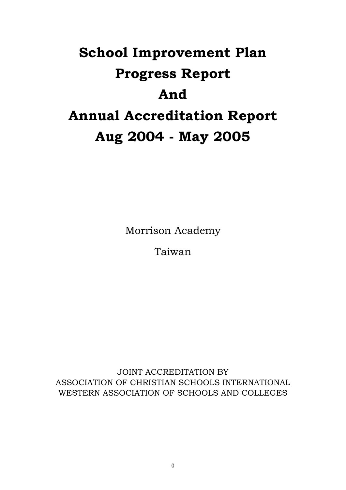# **School Improvement Plan Progress Report And Annual Accreditation Report Aug 2004 - May 2005**

Morrison Academy

Taiwan

JOINT ACCREDITATION BY ASSOCIATION OF CHRISTIAN SCHOOLS INTERNATIONAL WESTERN ASSOCIATION OF SCHOOLS AND COLLEGES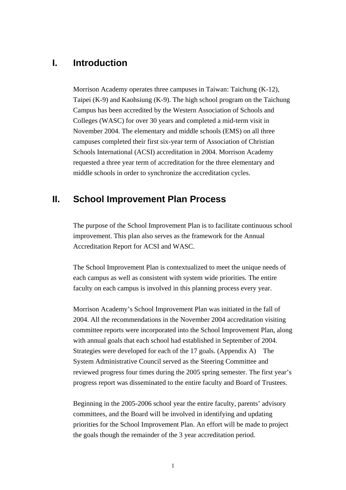## **I. Introduction**

Morrison Academy operates three campuses in Taiwan: Taichung (K-12), Taipei (K-9) and Kaohsiung (K-9). The high school program on the Taichung Campus has been accredited by the Western Association of Schools and Colleges (WASC) for over 30 years and completed a mid-term visit in November 2004. The elementary and middle schools (EMS) on all three campuses completed their first six-year term of Association of Christian Schools International (ACSI) accreditation in 2004. Morrison Academy requested a three year term of accreditation for the three elementary and middle schools in order to synchronize the accreditation cycles.

# **II. School Improvement Plan Process**

The purpose of the School Improvement Plan is to facilitate continuous school improvement. This plan also serves as the framework for the Annual Accreditation Report for ACSI and WASC.

The School Improvement Plan is contextualized to meet the unique needs of each campus as well as consistent with system wide priorities. The entire faculty on each campus is involved in this planning process every year.

Morrison Academy's School Improvement Plan was initiated in the fall of 2004. All the recommendations in the November 2004 accreditation visiting committee reports were incorporated into the School Improvement Plan, along with annual goals that each school had established in September of 2004. Strategies were developed for each of the 17 goals. (Appendix A) The System Administrative Council served as the Steering Committee and reviewed progress four times during the 2005 spring semester. The first year's progress report was disseminated to the entire faculty and Board of Trustees.

Beginning in the 2005-2006 school year the entire faculty, parents' advisory committees, and the Board will be involved in identifying and updating priorities for the School Improvement Plan. An effort will be made to project the goals though the remainder of the 3 year accreditation period.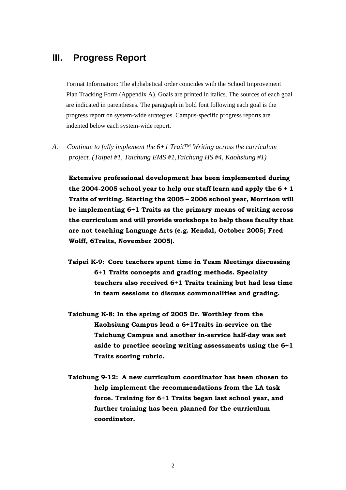# **III. Progress Report**

Format Information: The alphabetical order coincides with the School Improvement Plan Tracking Form (Appendix A). Goals are printed in italics. The sources of each goal are indicated in parentheses. The paragraph in bold font following each goal is the progress report on system-wide strategies. Campus-specific progress reports are indented below each system-wide report.

*A. Continue to fully implement the 6+1 Trait™ Writing across the curriculum project. (Taipei #1, Taichung EMS #1,Taichung HS #4, Kaohsiung #1)* 

**Extensive professional development has been implemented during the 2004-2005 school year to help our staff learn and apply the 6 + 1 Traits of writing. Starting the 2005 – 2006 school year, Morrison will be implementing 6+1 Traits as the primary means of writing across the curriculum and will provide workshops to help those faculty that are not teaching Language Arts (e.g. Kendal, October 2005; Fred Wolff, 6Traits, November 2005).** 

- **Taipei K-9: Core teachers spent time in Team Meetings discussing 6+1 Traits concepts and grading methods. Specialty teachers also received 6+1 Traits training but had less time in team sessions to discuss commonalities and grading.**
- **Taichung K-8: In the spring of 2005 Dr. Worthley from the Kaohsiung Campus lead a 6+1Traits in-service on the Taichung Campus and another in-service half-day was set aside to practice scoring writing assessments using the 6+1 Traits scoring rubric.**
- **Taichung 9-12: A new curriculum coordinator has been chosen to help implement the recommendations from the LA task force. Training for 6+1 Traits began last school year, and further training has been planned for the curriculum coordinator.**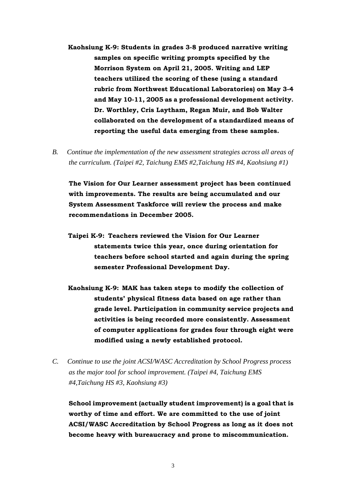- **Kaohsiung K-9: Students in grades 3-8 produced narrative writing samples on specific writing prompts specified by the Morrison System on April 21, 2005. Writing and LEP teachers utilized the scoring of these (using a standard rubric from Northwest Educational Laboratories) on May 3-4 and May 10-11, 2005 as a professional development activity. Dr. Worthley, Cris Laytham, Regan Muir, and Bob Walter collaborated on the development of a standardized means of reporting the useful data emerging from these samples.**
- *B. Continue the implementation of the new assessment strategies across all areas of the curriculum. (Taipei #2, Taichung EMS #2,Taichung HS #4, Kaohsiung #1)*

**The Vision for Our Learner assessment project has been continued with improvements. The results are being accumulated and our System Assessment Taskforce will review the process and make recommendations in December 2005.** 

- **Taipei K-9: Teachers reviewed the Vision for Our Learner statements twice this year, once during orientation for teachers before school started and again during the spring semester Professional Development Day.**
- **Kaohsiung K-9: MAK has taken steps to modify the collection of students' physical fitness data based on age rather than grade level. Participation in community service projects and activities is being recorded more consistently. Assessment of computer applications for grades four through eight were modified using a newly established protocol.**
- *C. Continue to use the joint ACSI/WASC Accreditation by School Progress process as the major tool for school improvement. (Taipei #4, Taichung EMS #4,Taichung HS #3, Kaohsiung #3)*

**School improvement (actually student improvement) is a goal that is worthy of time and effort. We are committed to the use of joint ACSI/WASC Accreditation by School Progress as long as it does not become heavy with bureaucracy and prone to miscommunication.** 

3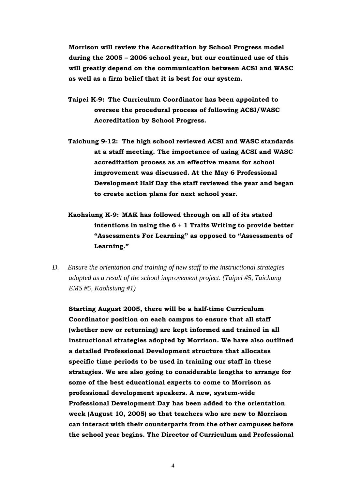**Morrison will review the Accreditation by School Progress model during the 2005 – 2006 school year, but our continued use of this will greatly depend on the communication between ACSI and WASC as well as a firm belief that it is best for our system.** 

- **Taipei K-9: The Curriculum Coordinator has been appointed to oversee the procedural process of following ACSI/WASC Accreditation by School Progress.**
- **Taichung 9-12: The high school reviewed ACSI and WASC standards at a staff meeting. The importance of using ACSI and WASC accreditation process as an effective means for school improvement was discussed. At the May 6 Professional Development Half Day the staff reviewed the year and began to create action plans for next school year.**
- **Kaohsiung K-9: MAK has followed through on all of its stated intentions in using the 6 + 1 Traits Writing to provide better "Assessments For Learning" as opposed to "Assessments of Learning."**
- *D. Ensure the orientation and training of new staff to the instructional strategies adopted as a result of the school improvement project. (Taipei #5, Taichung EMS #5, Kaohsiung #1)*

**Starting August 2005, there will be a half-time Curriculum Coordinator position on each campus to ensure that all staff (whether new or returning) are kept informed and trained in all instructional strategies adopted by Morrison. We have also outlined a detailed Professional Development structure that allocates specific time periods to be used in training our staff in these strategies. We are also going to considerable lengths to arrange for some of the best educational experts to come to Morrison as professional development speakers. A new, system-wide Professional Development Day has been added to the orientation week (August 10, 2005) so that teachers who are new to Morrison can interact with their counterparts from the other campuses before the school year begins. The Director of Curriculum and Professional** 

4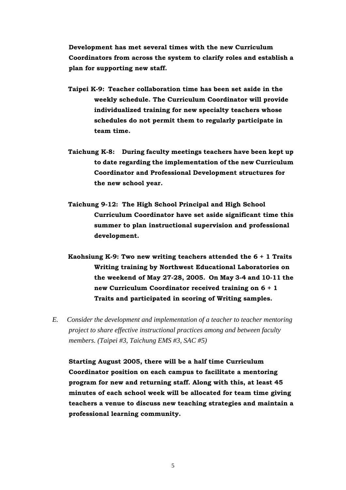**Development has met several times with the new Curriculum Coordinators from across the system to clarify roles and establish a plan for supporting new staff.** 

- **Taipei K-9: Teacher collaboration time has been set aside in the weekly schedule. The Curriculum Coordinator will provide individualized training for new specialty teachers whose schedules do not permit them to regularly participate in team time.**
- **Taichung K-8: During faculty meetings teachers have been kept up to date regarding the implementation of the new Curriculum Coordinator and Professional Development structures for the new school year.**
- **Taichung 9-12: The High School Principal and High School Curriculum Coordinator have set aside significant time this summer to plan instructional supervision and professional development.**
- **Kaohsiung K-9: Two new writing teachers attended the 6 + 1 Traits Writing training by Northwest Educational Laboratories on the weekend of May 27-28, 2005. On May 3-4 and 10-11 the new Curriculum Coordinator received training on 6 + 1 Traits and participated in scoring of Writing samples.**
- *E. Consider the development and implementation of a teacher to teacher mentoring project to share effective instructional practices among and between faculty members. (Taipei #3, Taichung EMS #3, SAC #5)*

**Starting August 2005, there will be a half time Curriculum Coordinator position on each campus to facilitate a mentoring program for new and returning staff. Along with this, at least 45 minutes of each school week will be allocated for team time giving teachers a venue to discuss new teaching strategies and maintain a professional learning community.**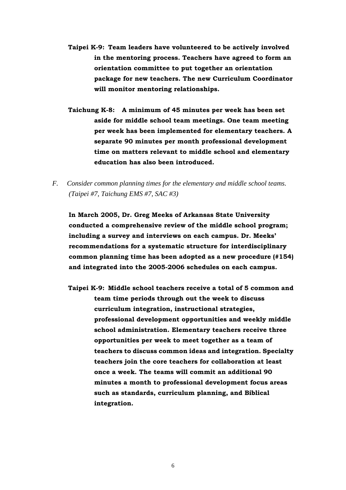- **Taipei K-9: Team leaders have volunteered to be actively involved in the mentoring process. Teachers have agreed to form an orientation committee to put together an orientation package for new teachers. The new Curriculum Coordinator will monitor mentoring relationships.**
- **Taichung K-8: A minimum of 45 minutes per week has been set aside for middle school team meetings. One team meeting per week has been implemented for elementary teachers. A separate 90 minutes per month professional development time on matters relevant to middle school and elementary education has also been introduced.**
- *F. Consider common planning times for the elementary and middle school teams. (Taipei #7, Taichung EMS #7, SAC #3)*

**In March 2005, Dr. Greg Meeks of Arkansas State University conducted a comprehensive review of the middle school program; including a survey and interviews on each campus. Dr. Meeks' recommendations for a systematic structure for interdisciplinary common planning time has been adopted as a new procedure (#154) and integrated into the 2005-2006 schedules on each campus.** 

**Taipei K-9: Middle school teachers receive a total of 5 common and team time periods through out the week to discuss curriculum integration, instructional strategies, professional development opportunities and weekly middle school administration. Elementary teachers receive three opportunities per week to meet together as a team of teachers to discuss common ideas and integration. Specialty teachers join the core teachers for collaboration at least once a week. The teams will commit an additional 90 minutes a month to professional development focus areas such as standards, curriculum planning, and Biblical integration.**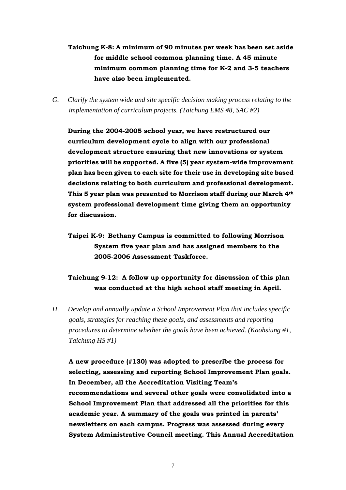- **Taichung K-8: A minimum of 90 minutes per week has been set aside for middle school common planning time. A 45 minute minimum common planning time for K-2 and 3-5 teachers have also been implemented.**
- *G. Clarify the system wide and site specific decision making process relating to the implementation of curriculum projects. (Taichung EMS #8, SAC #2)*

**During the 2004-2005 school year, we have restructured our curriculum development cycle to align with our professional development structure ensuring that new innovations or system priorities will be supported. A five (5) year system-wide improvement plan has been given to each site for their use in developing site based decisions relating to both curriculum and professional development. This 5 year plan was presented to Morrison staff during our March 4th system professional development time giving them an opportunity for discussion.** 

**Taipei K-9: Bethany Campus is committed to following Morrison System five year plan and has assigned members to the 2005-2006 Assessment Taskforce.** 

### **Taichung 9-12: A follow up opportunity for discussion of this plan was conducted at the high school staff meeting in April.**

*H. Develop and annually update a School Improvement Plan that includes specific goals, strategies for reaching these goals, and assessments and reporting procedures to determine whether the goals have been achieved. (Kaohsiung #1, Taichung HS #1)* 

**A new procedure (#130) was adopted to prescribe the process for selecting, assessing and reporting School Improvement Plan goals. In December, all the Accreditation Visiting Team's recommendations and several other goals were consolidated into a School Improvement Plan that addressed all the priorities for this academic year. A summary of the goals was printed in parents' newsletters on each campus. Progress was assessed during every System Administrative Council meeting. This Annual Accreditation**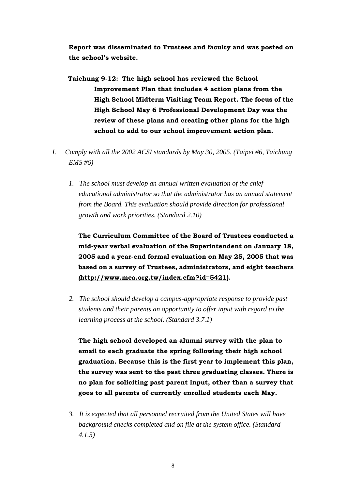**Report was disseminated to Trustees and faculty and was posted on the school's website.** 

- **Taichung 9-12: The high school has reviewed the School Improvement Plan that includes 4 action plans from the High School Midterm Visiting Team Report. The focus of the High School May 6 Professional Development Day was the review of these plans and creating other plans for the high school to add to our school improvement action plan.**
- *I. Comply with all the 2002 ACSI standards by May 30, 2005. (Taipei #6, Taichung EMS #6)* 
	- *1. The school must develop an annual written evaluation of the chief educational administrator so that the administrator has an annual statement from the Board. This evaluation should provide direction for professional growth and work priorities. (Standard 2.10)*

**The Curriculum Committee of the Board of Trustees conducted a mid-year verbal evaluation of the Superintendent on January 18, 2005 and a year-end formal evaluation on May 25, 2005 that was based on a survey of Trustees, administrators, and eight teachers**  *(***<http://www.mca.org.tw/index.cfm?id=5421>).** 

*2. The school should develop a campus-appropriate response to provide past students and their parents an opportunity to offer input with regard to the learning process at the school. (Standard 3.7.1)* 

**The high school developed an alumni survey with the plan to email to each graduate the spring following their high school graduation. Because this is the first year to implement this plan, the survey was sent to the past three graduating classes. There is no plan for soliciting past parent input, other than a survey that goes to all parents of currently enrolled students each May.**

*3. It is expected that all personnel recruited from the United States will have background checks completed and on file at the system office. (Standard 4.1.5)*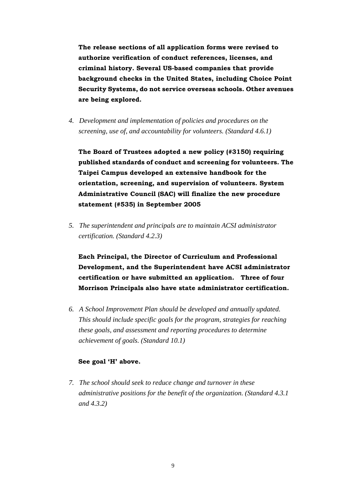**The release sections of all application forms were revised to authorize verification of conduct references, licenses, and criminal history. Several US-based companies that provide background checks in the United States, including Choice Point Security Systems, do not service overseas schools. Other avenues are being explored.** 

*4. Development and implementation of policies and procedures on the screening, use of, and accountability for volunteers. (Standard 4.6.1)* 

**The Board of Trustees adopted a new policy (#3150) requiring published standards of conduct and screening for volunteers. The Taipei Campus developed an extensive handbook for the orientation, screening, and supervision of volunteers. System Administrative Council (SAC) will finalize the new procedure statement (#535) in September 2005** 

*5. The superintendent and principals are to maintain ACSI administrator certification. (Standard 4.2.3)* 

**Each Principal, the Director of Curriculum and Professional Development, and the Superintendent have ACSI administrator certification or have submitted an application. Three of four Morrison Principals also have state administrator certification.** 

*6. A School Improvement Plan should be developed and annually updated. This should include specific goals for the program, strategies for reaching these goals, and assessment and reporting procedures to determine achievement of goals. (Standard 10.1)* 

#### **See goal 'H' above.**

*7. The school should seek to reduce change and turnover in these administrative positions for the benefit of the organization. (Standard 4.3.1 and 4.3.2)*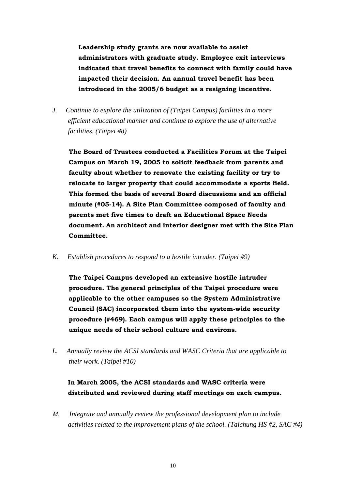**Leadership study grants are now available to assist administrators with graduate study. Employee exit interviews indicated that travel benefits to connect with family could have impacted their decision. An annual travel benefit has been introduced in the 2005/6 budget as a resigning incentive.** 

*J. Continue to explore the utilization of (Taipei Campus) facilities in a more efficient educational manner and continue to explore the use of alternative facilities. (Taipei #8)* 

**The Board of Trustees conducted a Facilities Forum at the Taipei Campus on March 19, 2005 to solicit feedback from parents and faculty about whether to renovate the existing facility or try to relocate to larger property that could accommodate a sports field. This formed the basis of several Board discussions and an official minute (#05-14). A Site Plan Committee composed of faculty and parents met five times to draft an Educational Space Needs document. An architect and interior designer met with the Site Plan Committee.** 

*K. Establish procedures to respond to a hostile intruder. (Taipei #9)* 

**The Taipei Campus developed an extensive hostile intruder procedure. The general principles of the Taipei procedure were applicable to the other campuses so the System Administrative Council (SAC) incorporated them into the system-wide security procedure (#469). Each campus will apply these principles to the unique needs of their school culture and environs.** 

*L. Annually review the ACSI standards and WASC Criteria that are applicable to their work. (Taipei #10)* 

### **In March 2005, the ACSI standards and WASC criteria were distributed and reviewed during staff meetings on each campus.**

*M. Integrate and annually review the professional development plan to include activities related to the improvement plans of the school. (Taichung HS #2, SAC #4)*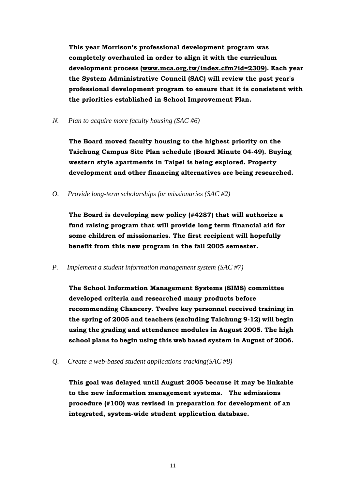**This year Morrison's professional development program was completely overhauled in order to align it with the curriculum development process (www.mca.org.tw/index.cfm?id=2309). Each year the System Administrative Council (SAC) will review the past year's professional development program to ensure that it is consistent with the priorities established in School Improvement Plan.** 

*N. Plan to acquire more faculty housing (SAC #6)*

**The Board moved faculty housing to the highest priority on the Taichung Campus Site Plan schedule (Board Minute 04-49). Buying western style apartments in Taipei is being explored. Property development and other financing alternatives are being researched.** 

*O. Provide long-term scholarships for missionaries (SAC #2)* 

**The Board is developing new policy (#4287) that will authorize a fund raising program that will provide long term financial aid for some children of missionaries. The first recipient will hopefully benefit from this new program in the fall 2005 semester.** 

*P. Implement a student information management system (SAC #7)* 

**The School Information Management Systems (SIMS) committee developed criteria and researched many products before recommending Chancery. Twelve key personnel received training in the spring of 2005 and teachers (excluding Taichung 9-12) will begin using the grading and attendance modules in August 2005. The high school plans to begin using this web based system in August of 2006.** 

*Q. Create a web-based student applications tracking(SAC #8)* 

**This goal was delayed until August 2005 because it may be linkable to the new information management systems. The admissions procedure (#100) was revised in preparation for development of an integrated, system-wide student application database.**